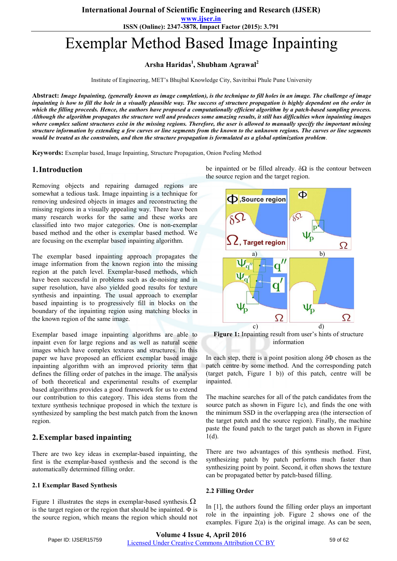**www.ijser.in**

**ISSN (Online): 2347-3878, Impact Factor (2015): 3.791**

# Exemplar Method Based Image Inpainting

**Arsha Haridas<sup>1</sup> , Shubham Agrawal<sup>2</sup>**

Institute of Engineering, MET's Bhujbal Knowledge City, Savitribai Phule Pune University

**Abstract:** *Image Inpainting, (generally known as image completion), is the technique to fill holes in an image. The challenge of image inpainting is how to fill the hole in a visually plausible way. The success of structure propagation is highly dependent on the order in which the filling proceeds. Hence, the authors have proposed a computationally efficient algorithm by a patch-based sampling process. Although the algorithm propagates the structure well and produces some amazing results, it still has difficulties when inpainting images where complex salient structures exist in the missing regions. Therefore, the user is allowed to manually specify the important missing structure information by extending a few curves or line segments from the known to the unknown regions. The curves or line segments would be treated as the constraints, and then the structure propagation is formulated as a global optimization problem*.

**Keywords:** Exemplar based, Image Inpainting, Structure Propagation, Onion Peeling Method

## **1.Introduction**

Removing objects and repairing damaged regions are somewhat a tedious task. Image inpainting is a technique for removing undesired objects in images and reconstructing the missing regions in a visually appealing way. There have been many research works for the same and these works are classified into two major categories. One is non-exemplar based method and the other is exemplar based method. We are focusing on the exemplar based inpainting algorithm.

The exemplar based inpainting approach propagates the image information from the known region into the missing region at the patch level. Exemplar-based methods, which have been successful in problems such as de-noising and in super resolution, have also yielded good results for texture synthesis and inpainting. The usual approach to exemplar based inpainting is to progressively fill in blocks on the boundary of the inpainting region using matching blocks in the known region of the same image.

Exemplar based image inpainting algorithms are able to inpaint even for large regions and as well as natural scene images which have complex textures and structures. In this paper we have proposed an efficient exemplar based image inpainting algorithm with an improved priority term that defines the filling order of patches in the image. The analysis of both theoretical and experimental results of exemplar based algorithms provides a good framework for us to extend our contribution to this category. This idea stems from the texture synthesis technique proposed in which the texture is synthesized by sampling the best match patch from the known region.

# **2.Exemplar based inpainting**

There are two key ideas in exemplar-based inpainting, the first is the exemplar-based synthesis and the second is the automatically determined filling order.

## **2.1 Exemplar Based Synthesis**

Figure 1 illustrates the steps in exemplar-based synthesis.  $\Omega$ is the target region or the region that should be inpainted.  $\Phi$  is the source region, which means the region which should not be inpainted or be filled already.  $\delta\Omega$  is the contour between the source region and the target region.



**Figure 1:** Inpainting result from user's hints of structure information

In each step, there is a point position along δΦ chosen as the patch centre by some method. And the corresponding patch (target patch, Figure 1 b)) of this patch, centre will be inpainted.

The machine searches for all of the patch candidates from the source patch as shown in Figure 1c), and finds the one with the minimum SSD in the overlapping area (the intersection of the target patch and the source region). Finally, the machine paste the found patch to the target patch as shown in Figure  $1(d)$ .

There are two advantages of this synthesis method. First, synthesizing patch by patch performs much faster than synthesizing point by point. Second, it often shows the texture can be propagated better by patch-based filling.

## **2.2 Filling Order**

In [1], the authors found the filling order plays an important role in the inpainting job. Figure 2 shows one of the examples. Figure 2(a) is the original image. As can be seen,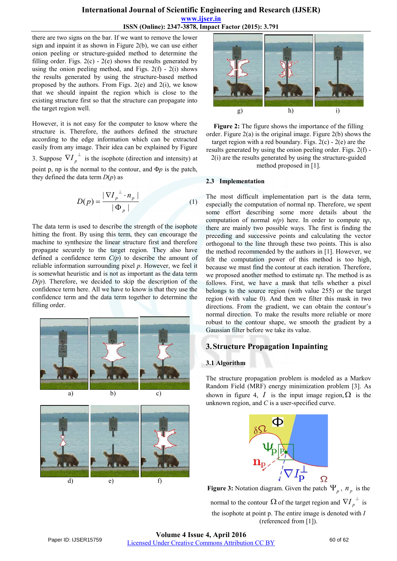## **International Journal of Scientific Engineering and Research (IJSER) www.ijser.in ISSN (Online): 2347-3878, Impact Factor (2015): 3.791**

there are two signs on the bar. If we want to remove the lower sign and inpaint it as shown in Figure 2(b), we can use either onion peeling or structure-guided method to determine the filling order. Figs.  $2(c) - 2(e)$  shows the results generated by using the onion peeling method, and Figs.  $2(f) - 2(i)$  shows the results generated by using the structure-based method proposed by the authors. From Figs. 2(e) and 2(i), we know that we should inpaint the region which is close to the existing structure first so that the structure can propagate into the target region well.

However, it is not easy for the computer to know where the structure is. Therefore, the authors defined the structure according to the edge information which can be extracted easily from any image. Their idea can be explained by Figure 3. Suppose  $\nabla I_n^{\perp}$  is the isophote (direction and intensity) at point p, np is the normal to the contour, and Φ*p* is the patch, they defined the data term  $D(p)$  as

$$
D(p) = \frac{|\nabla I_p^{\perp} \cdot n_p|}{|\Phi_p|} \tag{1}
$$

The data term is used to describe the strength of the isophote hitting the front. By using this term, they can encourage the machine to synthesize the linear structure first and therefore propagate securely to the target region. They also have defined a confidence term *C(p*) to describe the amount of reliable information surrounding pixel *p*. However, we feel it is somewhat heuristic and is not as important as the data term *D(p*). Therefore, we decided to skip the description of the confidence term here. All we have to know is that they use the confidence term and the data term together to determine the filling order.







**Figure 2:** The figure shows the importance of the filling order. Figure 2(a) is the original image. Figure 2(b) shows the target region with a red boundary. Figs.  $2(c)$  -  $2(e)$  are the

results generated by using the onion peeling order. Figs. 2(f) - 2(i) are the results generated by using the structure-guided method proposed in [1].

## **2.3 Implementation**

The most difficult implementation part is the data term, especially the computation of normal np. Therefore, we spent some effort describing some more details about the computation of normal *n(p*) here. In order to compute n*p*, there are mainly two possible ways. The first is finding the preceding and successive points and calculating the vector orthogonal to the line through these two points. This is also the method recommended by the authors in [1]. However, we felt the computation power of this method is too high, because we must find the contour at each iteration. Therefore, we proposed another method to estimate n*p*. The method is as follows. First, we have a mask that tells whether a pixel belongs to the source region (with value 255) or the target region (with value 0). And then we filter this mask in two directions. From the gradient, we can obtain the contour's normal direction. To make the results more reliable or more robust to the contour shape, we smooth the gradient by a Gaussian filter before we take its value.

# **3.Structure Propagation Inpainting**

## **3.1 Algorithm**

The structure propagation problem is modeled as a Markov Random Field (MRF) energy minimization problem [3]. As shown in figure 4, *I* is the input image region,  $\Omega$  is the unknown region, and *C* is a user-specified curve.



**Figure 3:** Notation diagram. Given the patch  $\Psi_p$ ,  $n_p$  is the normal to the contour  $\Omega$  of the target region and  $\nabla I_{n}^{\perp}$  is the isophote at point p. The entire image is denoted with *I* (referenced from [1]).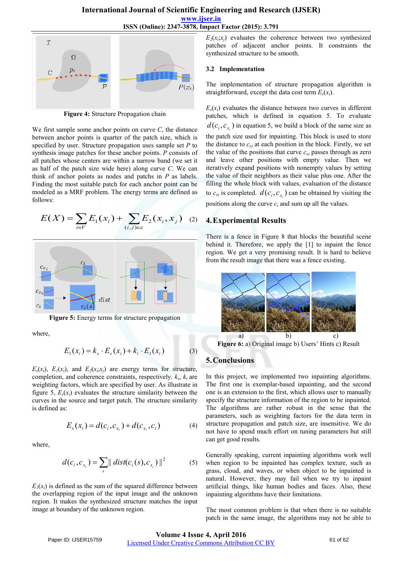

**Figure 4:** Structure Propagation chain

We first sample some anchor points on curve *C*, the distance between anchor points is quarter of the patch size, which is specified by user. Structure propagation uses sample set *P* to synthesis image patches for these anchor points. *P* consists of all patches whose centers are within a narrow band (we set it as half of the patch size wide here) along curve *C*. We can think of anchor points as nodes and patchs in *P* as labels. Finding the most suitable patch for each anchor point can be modeled as a MRF problem. The energy terms are defined as follows:

$$
E(X) = \sum_{i \in V} E_1(x_i) + \sum_{(i,j) \in \mathcal{E}} E_2(x_i, x_j) \quad (2)
$$



**Figure 5:** Energy terms for structure propagation

where,

$$
E_1(x_i) = k_s \cdot E_s(x_i) + k_i \cdot E_1(x_i)
$$
 (3)

 $E_s(x_i)$ ,  $E_l(x_i)$ , and  $E_2(x_i; x_j)$  are energy terms for structure, completion, and coherence constraints, respectively.  $k_s$ ,  $k_i$  are weighting factors, which are specified by user. As illustrate in figure 5,  $E_s(x_i)$  evaluates the structure similarity between the curves in the source and target patch. The structure similarity is defined as:

$$
E_s(x_i) = d(c_i, c_{x_i}) + d(c_{x_i}, c_i)
$$
 (4)

where,

$$
d(c_i, c_{x_i}) = \sum_{s} ||dist(c_i(s), c_{x_i})||^2
$$
 (5)

 $E_1(x_i)$  is defined as the sum of the squared difference between the overlapping region of the input image and the unknown region. It makes the synthesized structure matches the input image at boundary of the unknown region.

 $E_2(x_i; x_i)$  evaluates the coherence between two synthesized patches of adjacent anchor points. It constraints the synthesized structure to be smooth.

## **3.2 Implementation**

The implementation of structure propagation algorithm is straightforward, except the data cost term  $E<sub>s</sub>(x<sub>i</sub>)$ .

 $E<sub>s</sub>(x<sub>i</sub>)$  evaluates the distance between two curves in different patches, which is defined in equation 5. To evaluate  $d(c_i, c_{x_i})$  in equation 5, we build a block of the same size as the patch size used for inpainting. This block is used to store the distance to  $c_{xi}$  at each position in the block. Firstly, we set the value of the positions that curve  $c_{xi}$  passes through as zero and leave other positions with empty value. Then we iteratively expand positions with nonempty values by setting the value of their neighbors as their value plus one. After the filling the whole block with values, evaluation of the distance to  $c_{xi}$  is completed.  $d(c_i, c_{x_i})$  can be obtained by visiting the positions along the curve  $c_i$  and sum up all the values.

## **4.Experimental Results**

There is a fence in Figure 8 that blocks the beautiful scene behind it. Therefore, we apply the [1] to inpaint the fence region. We get a very promising result. It is hard to believe from the result image that there was a fence existing.



**Figure 6:** a) Original image b) Users' Hints c) Result

## **5.Conclusions**

In this project, we implemented two inpainting algorithms. The first one is exemplar-based inpainting, and the second one is an extension to the first, which allows user to manually specify the structure information of the region to be inpainted. The algorithms are rather robust in the sense that the parameters, such as weighting factors for the data term in structure propagation and patch size, are insensitive. We do not have to spend much effort on tuning parameters but still can get good results.

Generally speaking, current inpainting algorithms work well when region to be inpainted has complex texture, such as grass, cloud, and waves, or when object to be inpainted is natural. However, they may fail when we try to inpaint artificial things, like human bodies and faces. Also, these inpainting algorithms have their limitations.

The most common problem is that when there is no suitable patch in the same image, the algorithms may not be able to